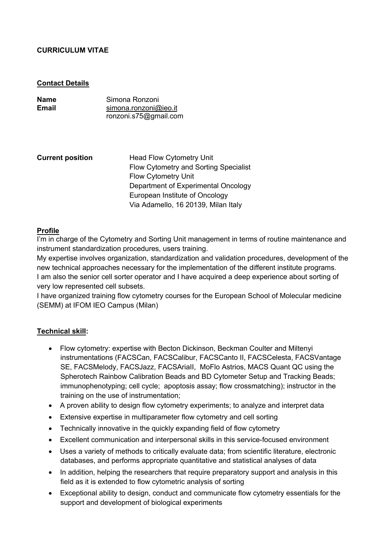# **CURRICULUM VITAE**

#### **Contact Details**

| Name  | Simona Ronzoni        |
|-------|-----------------------|
| Email | simona.ronzoni@ieo.it |
|       | ronzoni.s75@gmail.com |

**Current position** Head Flow Cytometry Unit Flow Cytometry and Sorting Specialist Flow Cytometry Unit Department of Experimental Oncology European Institute of Oncology Via Adamello, 16 20139, Milan Italy

# **Profile**

I'm in charge of the Cytometry and Sorting Unit management in terms of routine maintenance and instrument standardization procedures, users training.

My expertise involves organization, standardization and validation procedures, development of the new technical approaches necessary for the implementation of the different institute programs. I am also the senior cell sorter operator and I have acquired a deep experience about sorting of very low represented cell subsets.

I have organized training flow cytometry courses for the European School of Molecular medicine (SEMM) at IFOM IEO Campus (Milan)

## **Technical skill:**

- Flow cytometry: expertise with Becton Dickinson, Beckman Coulter and Miltenyi instrumentations (FACSCan, FACSCalibur, FACSCanto II, FACSCelesta, FACSVantage SE, FACSMelody, FACSJazz, FACSAriaII, MoFlo Astrios, MACS Quant QC using the Spherotech Rainbow Calibration Beads and BD Cytometer Setup and Tracking Beads; immunophenotyping; cell cycle; apoptosis assay; flow crossmatching); instructor in the training on the use of instrumentation;
- A proven ability to design flow cytometry experiments; to analyze and interpret data
- Extensive expertise in multiparameter flow cytometry and cell sorting
- Technically innovative in the quickly expanding field of flow cytometry
- Excellent communication and interpersonal skills in this service-focused environment
- Uses a variety of methods to critically evaluate data; from scientific literature, electronic databases, and performs appropriate quantitative and statistical analyses of data
- In addition, helping the researchers that require preparatory support and analysis in this field as it is extended to flow cytometric analysis of sorting
- Exceptional ability to design, conduct and communicate flow cytometry essentials for the support and development of biological experiments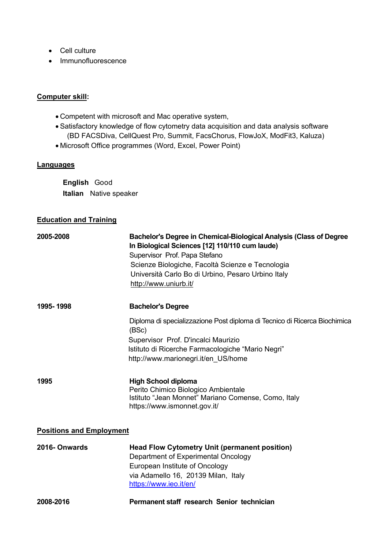- Cell culture
- Immunofluorescence

# **Computer skill:**

- Competent with microsoft and Mac operative system,
- Satisfactory knowledge of flow cytometry data acquisition and data analysis software (BD FACSDiva, CellQuest Pro, Summit, FacsChorus, FlowJoX, ModFit3, Kaluza)
- Microsoft Office programmes (Word, Excel, Power Point)

# **Languages**

**English** Good **Italian** Native speaker

# **Education and Training**

| 2005-2008                       | Bachelor's Degree in Chemical-Biological Analysis (Class of Degree<br>In Biological Sciences [12] 110/110 cum laude)<br>Supervisor Prof. Papa Stefano<br>Scienze Biologiche, Facoltà Scienze e Tecnologia<br>Università Carlo Bo di Urbino, Pesaro Urbino Italy<br>http://www.uniurb.it/ |  |
|---------------------------------|------------------------------------------------------------------------------------------------------------------------------------------------------------------------------------------------------------------------------------------------------------------------------------------|--|
| 1995-1998                       | <b>Bachelor's Degree</b>                                                                                                                                                                                                                                                                 |  |
|                                 | Diploma di specializzazione Post diploma di Tecnico di Ricerca Biochimica<br>(BSc)                                                                                                                                                                                                       |  |
|                                 | Supervisor Prof. D'incalci Maurizio                                                                                                                                                                                                                                                      |  |
|                                 | Istituto di Ricerche Farmacologiche "Mario Negri"                                                                                                                                                                                                                                        |  |
|                                 | http://www.marionegri.it/en US/home                                                                                                                                                                                                                                                      |  |
|                                 |                                                                                                                                                                                                                                                                                          |  |
| 1995                            | <b>High School diploma</b>                                                                                                                                                                                                                                                               |  |
|                                 | Perito Chimico Biologico Ambientale                                                                                                                                                                                                                                                      |  |
|                                 | Istituto "Jean Monnet" Mariano Comense, Como, Italy<br>https://www.ismonnet.gov.it/                                                                                                                                                                                                      |  |
|                                 |                                                                                                                                                                                                                                                                                          |  |
| <b>Positions and Employment</b> |                                                                                                                                                                                                                                                                                          |  |
| 2016-Onwards                    | <b>Head Flow Cytometry Unit (permanent position)</b>                                                                                                                                                                                                                                     |  |
|                                 | Department of Experimental Oncology                                                                                                                                                                                                                                                      |  |
|                                 | European Institute of Oncology                                                                                                                                                                                                                                                           |  |
|                                 | via Adamello 16, 20139 Milan, Italy                                                                                                                                                                                                                                                      |  |
|                                 | https://www.ieo.it/en/                                                                                                                                                                                                                                                                   |  |
| 2008-2016                       | Permanent staff research Senior technician                                                                                                                                                                                                                                               |  |
|                                 |                                                                                                                                                                                                                                                                                          |  |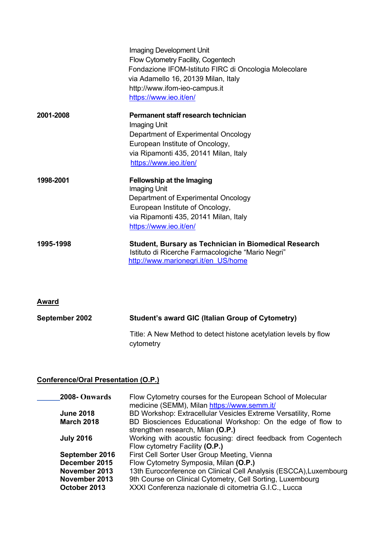|           | Imaging Development Unit<br>Flow Cytometry Facility, Cogentech<br>Fondazione IFOM-Istituto FIRC di Oncologia Molecolare<br>via Adamello 16, 20139 Milan, Italy<br>http://www.ifom-ieo-campus.it<br>https://www.ieo.it/en/ |
|-----------|---------------------------------------------------------------------------------------------------------------------------------------------------------------------------------------------------------------------------|
| 2001-2008 | Permanent staff research technician<br>Imaging Unit<br>Department of Experimental Oncology<br>European Institute of Oncology,<br>via Ripamonti 435, 20141 Milan, Italy<br>https://www.ieo.it/en/                          |
| 1998-2001 | <b>Fellowship at the Imaging</b><br>Imaging Unit<br>Department of Experimental Oncology<br>European Institute of Oncology,<br>via Ripamonti 435, 20141 Milan, Italy<br>https://www.ieo.it/en/                             |
| 1995-1998 | <b>Student, Bursary as Technician in Biomedical Research</b><br>Istituto di Ricerche Farmacologiche "Mario Negri"<br>http://www.marionegri.it/en US/home                                                                  |

# **Award**

| September 2002 | Student's award GIC (Italian Group of Cytometry)                              |
|----------------|-------------------------------------------------------------------------------|
|                | Title: A New Method to detect histone acetylation levels by flow<br>cytometry |

# **Conference/Oral Presentation (O.P.)**

| 2008-Onwards                  | Flow Cytometry courses for the European School of Molecular<br>medicine (SEMM), Milan https://www.semm.it/          |
|-------------------------------|---------------------------------------------------------------------------------------------------------------------|
| <b>June 2018</b>              | BD Workshop: Extracellular Vesicles Extreme Versatility, Rome                                                       |
| <b>March 2018</b>             | BD Biosciences Educational Workshop: On the edge of flow to<br>strengthen research, Milan (O.P.)                    |
| <b>July 2016</b>              | Working with acoustic focusing: direct feedback from Cogentech<br>Flow cytometry Facility (O.P.)                    |
| September 2016                | First Cell Sorter User Group Meeting, Vienna                                                                        |
| December 2015                 | Flow Cytometry Symposia, Milan (O.P.)                                                                               |
| November 2013                 | 13th Euroconference on Clinical Cell Analysis (ESCCA), Luxembourg                                                   |
| November 2013<br>October 2013 | 9th Course on Clinical Cytometry, Cell Sorting, Luxembourg<br>XXXI Conferenza nazionale di citometria G.I.C., Lucca |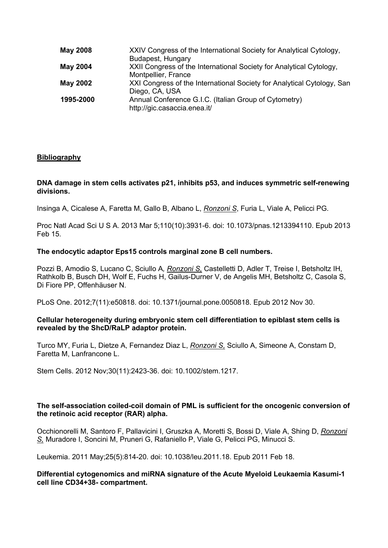| <b>May 2008</b> | XXIV Congress of the International Society for Analytical Cytology,    |
|-----------------|------------------------------------------------------------------------|
|                 | Budapest, Hungary                                                      |
| <b>May 2004</b> | XXII Congress of the International Society for Analytical Cytology,    |
|                 | Montpellier, France                                                    |
| <b>May 2002</b> | XXI Congress of the International Society for Analytical Cytology, San |
|                 | Diego, CA, USA                                                         |
| 1995-2000       | Annual Conference G.I.C. (Italian Group of Cytometry)                  |
|                 | http://gic.casaccia.enea.it/                                           |

# **Bibliography**

#### **DNA damage in stem cells activates p21, inhibits p53, and induces symmetric self-renewing divisions.**

Insinga A, Cicalese A, Faretta M, Gallo B, Albano L, *Ronzoni S*, Furia L, Viale A, Pelicci PG.

Proc Natl Acad Sci U S A. 2013 Mar 5;110(10):3931-6. doi: 10.1073/pnas.1213394110. Epub 2013 Feb 15.

## **The endocytic adaptor Eps15 controls marginal zone B cell numbers.**

Pozzi B, Amodio S, Lucano C, Sciullo A*, Ronzoni S,* Castelletti D, Adler T, Treise I, Betsholtz IH, Rathkolb B, Busch DH, Wolf E, Fuchs H, Gailus-Durner V, de Angelis MH, Betsholtz C, Casola S, Di Fiore PP, Offenhäuser N.

PLoS One. 2012;7(11):e50818. doi: 10.1371/journal.pone.0050818. Epub 2012 Nov 30.

#### **Cellular heterogeneity during embryonic stem cell differentiation to epiblast stem cells is revealed by the ShcD/RaLP adaptor protein.**

Turco MY, Furia L, Dietze A, Fernandez Diaz L, *Ronzoni S,* Sciullo A, Simeone A, Constam D, Faretta M, Lanfrancone L.

Stem Cells. 2012 Nov;30(11):2423-36. doi: 10.1002/stem.1217.

## **The self-association coiled-coil domain of PML is sufficient for the oncogenic conversion of the retinoic acid receptor (RAR) alpha.**

Occhionorelli M, Santoro F, Pallavicini I, Gruszka A, Moretti S, Bossi D, Viale A, Shing D, *Ronzoni S,* Muradore I, Soncini M, Pruneri G, Rafaniello P, Viale G, Pelicci PG, Minucci S.

Leukemia. 2011 May;25(5):814-20. doi: 10.1038/leu.2011.18. Epub 2011 Feb 18.

## **Differential cytogenomics and miRNA signature of the Acute Myeloid Leukaemia Kasumi-1 cell line CD34+38- compartment.**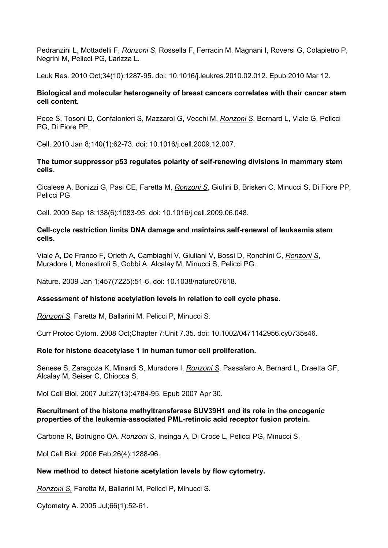Pedranzini L, Mottadelli F, *Ronzoni S*, Rossella F, Ferracin M, Magnani I, Roversi G, Colapietro P, Negrini M, Pelicci PG, Larizza L.

Leuk Res. 2010 Oct;34(10):1287-95. doi: 10.1016/j.leukres.2010.02.012. Epub 2010 Mar 12.

## **Biological and molecular heterogeneity of breast cancers correlates with their cancer stem cell content.**

Pece S, Tosoni D, Confalonieri S, Mazzarol G, Vecchi M, *Ronzoni S*, Bernard L, Viale G, Pelicci PG, Di Fiore PP.

Cell. 2010 Jan 8;140(1):62-73. doi: 10.1016/j.cell.2009.12.007.

## **The tumor suppressor p53 regulates polarity of self-renewing divisions in mammary stem cells.**

Cicalese A, Bonizzi G, Pasi CE, Faretta M, *Ronzoni S*, Giulini B, Brisken C, Minucci S, Di Fiore PP, Pelicci PG.

Cell. 2009 Sep 18;138(6):1083-95. doi: 10.1016/j.cell.2009.06.048.

#### **Cell-cycle restriction limits DNA damage and maintains self-renewal of leukaemia stem cells.**

Viale A, De Franco F, Orleth A, Cambiaghi V, Giuliani V, Bossi D, Ronchini C, *Ronzoni S*, Muradore I, Monestiroli S, Gobbi A, Alcalay M, Minucci S, Pelicci PG.

Nature. 2009 Jan 1;457(7225):51-6. doi: 10.1038/nature07618.

## **Assessment of histone acetylation levels in relation to cell cycle phase.**

*Ronzoni S*, Faretta M, Ballarini M, Pelicci P, Minucci S.

Curr Protoc Cytom. 2008 Oct;Chapter 7:Unit 7.35. doi: 10.1002/0471142956.cy0735s46.

## **Role for histone deacetylase 1 in human tumor cell proliferation.**

Senese S, Zaragoza K, Minardi S, Muradore I, *Ronzoni S*, Passafaro A, Bernard L, Draetta GF, Alcalay M, Seiser C, Chiocca S.

Mol Cell Biol. 2007 Jul;27(13):4784-95. Epub 2007 Apr 30.

#### **Recruitment of the histone methyltransferase SUV39H1 and its role in the oncogenic properties of the leukemia-associated PML-retinoic acid receptor fusion protein.**

Carbone R, Botrugno OA, *Ronzoni S*, Insinga A, Di Croce L, Pelicci PG, Minucci S.

Mol Cell Biol. 2006 Feb;26(4):1288-96.

#### **New method to detect histone acetylation levels by flow cytometry.**

*Ronzoni S,* Faretta M, Ballarini M, Pelicci P, Minucci S.

Cytometry A. 2005 Jul;66(1):52-61.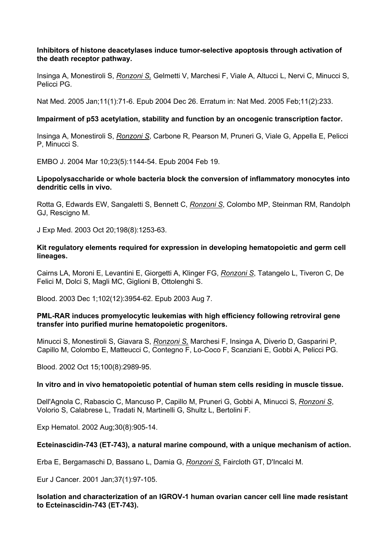## **Inhibitors of histone deacetylases induce tumor-selective apoptosis through activation of the death receptor pathway.**

Insinga A, Monestiroli S, *Ronzoni S,* Gelmetti V, Marchesi F, Viale A, Altucci L, Nervi C, Minucci S, Pelicci PG.

Nat Med. 2005 Jan;11(1):71-6. Epub 2004 Dec 26. Erratum in: Nat Med. 2005 Feb;11(2):233.

# **Impairment of p53 acetylation, stability and function by an oncogenic transcription factor.**

Insinga A, Monestiroli S, *Ronzoni S*, Carbone R, Pearson M, Pruneri G, Viale G, Appella E, Pelicci P, Minucci S.

EMBO J. 2004 Mar 10;23(5):1144-54. Epub 2004 Feb 19.

## **Lipopolysaccharide or whole bacteria block the conversion of inflammatory monocytes into dendritic cells in vivo.**

Rotta G, Edwards EW, Sangaletti S, Bennett C, *Ronzoni S*, Colombo MP, Steinman RM, Randolph GJ, Rescigno M.

J Exp Med. 2003 Oct 20;198(8):1253-63.

## **Kit regulatory elements required for expression in developing hematopoietic and germ cell lineages.**

Cairns LA, Moroni E, Levantini E, Giorgetti A, Klinger FG, *Ronzoni S*, Tatangelo L, Tiveron C, De Felici M, Dolci S, Magli MC, Giglioni B, Ottolenghi S.

Blood. 2003 Dec 1;102(12):3954-62. Epub 2003 Aug 7.

## **PML-RAR induces promyelocytic leukemias with high efficiency following retroviral gene transfer into purified murine hematopoietic progenitors.**

Minucci S, Monestiroli S, Giavara S, *Ronzoni S,* Marchesi F, Insinga A, Diverio D, Gasparini P, Capillo M, Colombo E, Matteucci C, Contegno F, Lo-Coco F, Scanziani E, Gobbi A, Pelicci PG.

Blood. 2002 Oct 15;100(8):2989-95.

## **In vitro and in vivo hematopoietic potential of human stem cells residing in muscle tissue.**

Dell'Agnola C, Rabascio C, Mancuso P, Capillo M, Pruneri G, Gobbi A, Minucci S, *Ronzoni S*, Volorio S, Calabrese L, Tradati N, Martinelli G, Shultz L, Bertolini F.

Exp Hematol. 2002 Aug;30(8):905-14.

# **Ecteinascidin-743 (ET-743), a natural marine compound, with a unique mechanism of action.**

Erba E, Bergamaschi D, Bassano L, Damia G, *Ronzoni S,* Faircloth GT, D'Incalci M.

Eur J Cancer. 2001 Jan;37(1):97-105.

## **Isolation and characterization of an IGROV-1 human ovarian cancer cell line made resistant to Ecteinascidin-743 (ET-743).**